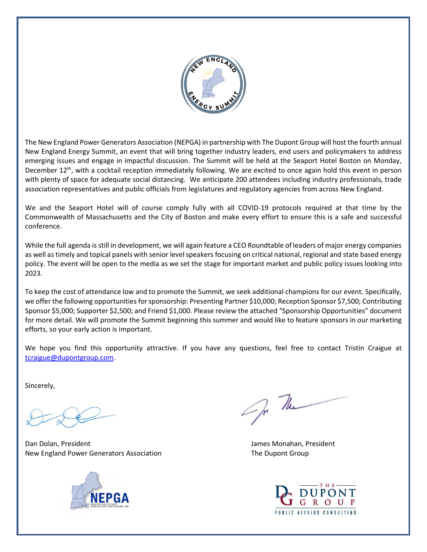

The New England Power Generators Association (NEPGA) in partnership with The Dupont Group will host the fourth annual New England Energy Summit, an event that will bring together industry leaders, end users and policymakers to address emerging issues and engage in impactful discussion. The Summit will be held at the Seaport Hotel Boston on Monday, December 12<sup>th</sup>, with a cocktail reception immediately following. We are excited to once again hold this event in person with plenty of space for adequate social distancing. We anticipate 200 attendees including industry professionals, trade association representatives and public officials from legislatures and regulatory agencies from across New England.

We and the Seaport Hotel will of course comply fully with all COVID-19 protocols required at that time by the Commonwealth of Massachusetts and the City of Boston and make every effort to ensure this is a safe and successful conference.

While the full agenda is still in development, we will again feature a CEO Roundtable of leaders of major energy companies as well as timely and topical panels with senior level speakers focusing on critical national, regional and state based energy policy. The event will be open to the media as we set the stage for important market and public policy issues looking into 2023.

To keep the cost of attendance low and to promote the Summit, we seek additional champions for our event. Specifically, we offer the following opportunities for sponsorship: Presenting Partner \$10,000; Reception Sponsor \$7,500; Contributing Sponsor \$5,000; Supporter \$2,500; and Friend \$1,000. Please review the attached "Sponsorship Opportunities" document for more detail. We will promote the Summit beginning this summer and would like to feature sponsors in our marketing efforts, so your early action is important.

We hope you find this opportunity attractive. If you have any questions, feel free to contact Tristin Craigue at [tcraigue@dupontgroup.com.](mailto:tcraigue@dupontgroup.com)

Sincerely,

Dan Dolan, President James Monahan, President New England Power Generators Association The Dupont Group The Dupont Group



Of The

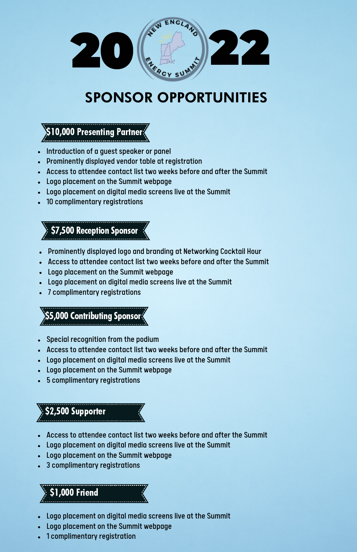

# SPONSOR OPPORTUNITIES

\$10,000 Presenting Partner

- Introduction of a guest speaker or panel
- Prominently displayed vendor table at registration
- Access to attendee contact list two weeks before and after the Summit
- Logo placement on the Summit webpage
- Logo placement on digital media screens live at the Summit
- 10 complimentary registrations

**\$7,500 Reception Sponsor** 

- Prominently displayed logo and branding at Networking Cocktail Hour
- Access to attendee contact list two weeks before and after the Summit
- Logo placement on the Summit webpage
- Logo placement on digital media screens live at the Summit
- 7 complimentary registrations

\$5,000 Contributing Sponsor

- Special recognition from the podium
- Access to attendee contact list two weeks before and after the Summit
- Logo placement on digital media screens live at the Summit
- Logo placement on the Summit webpage
- 5 complimentary registrations

### \$2,500 Supporter

- Access to attendee contact list two weeks before and after the Summit
- Logo placement on digital media screens live at the Summit
- Logo placement on the Summit webpage
- 3 complimentary registrations

## \$1,000 Friend

- Logo placement on digital media screens live at the Summit
- Logo placement on the Summit webpage
- 1 complimentary registration